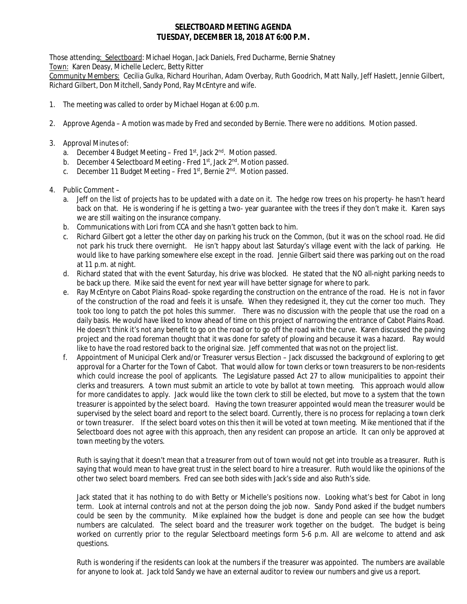## **SELECTBOARD MEETING AGENDA TUESDAY, DECEMBER 18, 2018 AT 6:00 P.M.**

Those attending: Selectboard: Michael Hogan, Jack Daniels, Fred Ducharme, Bernie Shatney Town: Karen Deasy, Michelle Leclerc, Betty Ritter

Community Members: Cecilia Gulka, Richard Hourihan, Adam Overbay, Ruth Goodrich, Matt Nally, Jeff Haslett, Jennie Gilbert, Richard Gilbert, Don Mitchell, Sandy Pond, Ray McEntyre and wife.

- 1. The meeting was called to order by Michael Hogan at 6:00 p.m.
- 2. Approve Agenda A motion was made by Fred and seconded by Bernie. There were no additions. Motion passed.
- 3. Approval Minutes of:
	- a. December 4 Budget Meeting Fred  $1<sup>st</sup>$ , Jack  $2<sup>nd</sup>$ . Motion passed.
	- b. December 4 Selectboard Meeting Fred 1<sup>st</sup>, Jack 2<sup>nd</sup>. Motion passed.
	- c. December 11 Budget Meeting Fred  $1<sup>st</sup>$ , Bernie  $2<sup>nd</sup>$ . Motion passed.
- 4. Public Comment
	- a. Jeff on the list of projects has to be updated with a date on it. The hedge row trees on his property- he hasn't heard back on that. He is wondering if he is getting a two- year guarantee with the trees if they don't make it. Karen says we are still waiting on the insurance company.
	- b. Communications with Lori from CCA and she hasn't gotten back to him.
	- c. Richard Gilbert got a letter the other day on parking his truck on the Common, (but it was on the school road. He did not park his truck there overnight. He isn't happy about last Saturday's village event with the lack of parking. He would like to have parking somewhere else except in the road. Jennie Gilbert said there was parking out on the road at 11 p.m. at night.
	- d. Richard stated that with the event Saturday, his drive was blocked. He stated that the NO all-night parking needs to be back up there. Mike said the event for next year will have better signage for where to park.
	- e. Ray McEntyre on Cabot Plains Road- spoke regarding the construction on the entrance of the road. He is not in favor of the construction of the road and feels it is unsafe. When they redesigned it, they cut the corner too much. They took too long to patch the pot holes this summer. There was no discussion with the people that use the road on a daily basis. He would have liked to know ahead of time on this project of narrowing the entrance of Cabot Plains Road. He doesn't think it's not any benefit to go on the road or to go off the road with the curve. Karen discussed the paving project and the road foreman thought that it was done for safety of plowing and because it was a hazard. Ray would like to have the road restored back to the original size. Jeff commented that was not on the project list.
	- f. Appointment of Municipal Clerk and/or Treasurer versus Election Jack discussed the background of exploring to get approval for a Charter for the Town of Cabot. That would allow for town clerks or town treasurers to be non-residents which could increase the pool of applicants. The Legislature passed Act 27 to allow municipalities to appoint their clerks and treasurers. A town must submit an article to vote by ballot at town meeting. This approach would allow for more candidates to apply. Jack would like the town clerk to still be elected, but move to a system that the town treasurer is appointed by the select board. Having the town treasurer appointed would mean the treasurer would be supervised by the select board and report to the select board. Currently, there is no process for replacing a town clerk or town treasurer. If the select board votes on this then it will be voted at town meeting. Mike mentioned that if the Selectboard does not agree with this approach, then any resident can propose an article. It can only be approved at town meeting by the voters.

Ruth is saying that it doesn't mean that a treasurer from out of town would not get into trouble as a treasurer. Ruth is saying that would mean to have great trust in the select board to hire a treasurer. Ruth would like the opinions of the other two select board members. Fred can see both sides with Jack's side and also Ruth's side.

Jack stated that it has nothing to do with Betty or Michelle's positions now. Looking what's best for Cabot in long term. Look at internal controls and not at the person doing the job now. Sandy Pond asked if the budget numbers could be seen by the community. Mike explained how the budget is done and people can see how the budget numbers are calculated. The select board and the treasurer work together on the budget. The budget is being worked on currently prior to the regular Selectboard meetings form 5-6 p.m. All are welcome to attend and ask questions.

Ruth is wondering if the residents can look at the numbers if the treasurer was appointed. The numbers are available for anyone to look at. Jack told Sandy we have an external auditor to review our numbers and give us a report.